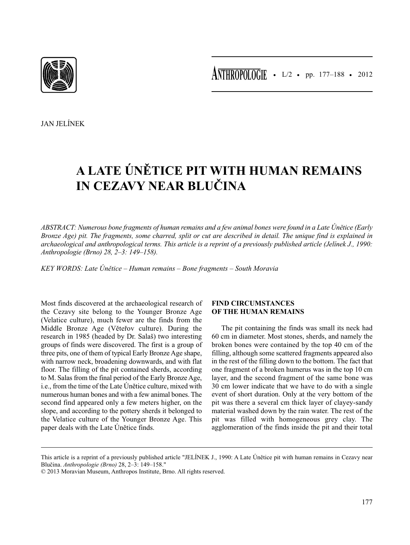JAN JELÍNEK

# **A LATE ÚNĚTICE PIT WITH HUMAN REMAINS IN CEZAVY NEAR BLUČINA**

*ABSTRACT: Numerous bone fragments of human remains and a few animal bones were found in a Late Únětice (Early Bronze Age) pit. The fragments, some charred, split or cut are described in detail. The unique find is explained in archaeological and anthropological terms. This article is a reprint of a previously published article (Jelínek J., 1990: Anthropologie (Brno) 28, 2–3: 149–158).*

*KEY WORDS: Late Únětice – Human remains – Bone fragments – South Moravia*

Most finds discovered at the archaeological research of the Cezavy site belong to the Younger Bronze Age (Velatice culture), much fewer are the finds from the Middle Bronze Age (Věteřov culture). During the research in 1985 (headed by Dr. Salaš) two interesting groups of finds were discovered. The first is a group of three pits, one of them of typical Early Bronze Age shape, with narrow neck, broadening downwards, and with flat floor. The filling of the pit contained sherds, according to M. Salas from the final period of the Early Bronze Age, i.e., from the time of the Late Únětice culture, mixed with numerous human bones and with a few animal bones. The second find appeared only a few meters higher, on the slope, and according to the pottery sherds it belonged to the Velatice culture of the Younger Bronze Age. This paper deals with the Late Únětice finds.

# **FIND CIRCUMSTANCES OF THE HUMAN REMAINS**

The pit containing the finds was small its neck had 60 cm in diameter. Most stones, sherds, and namely the broken bones were contained by the top 40 cm of the filling, although some scattered fragments appeared also in the rest of the filling down to the bottom. The fact that one fragment of a broken humerus was in the top 10 cm layer, and the second fragment of the same bone was 30 cm lower indicate that we have to do with a single event of short duration. Only at the very bottom of the pit was there a several cm thick layer of clayey-sandy material washed down by the rain water. The rest of the pit was filled with homogeneous grey clay. The agglomeration of the finds inside the pit and their total

This article is a reprint of a previously published article "JELÍNEK J., 1990: A Late Únětice pit with human remains in Cezavy near Blučina. *Anthropologie (Brno)* 28, 2–3: 149–158."

<sup>© 2013</sup> Moravian Museum, Anthropos Institute, Brno. All rights reserved.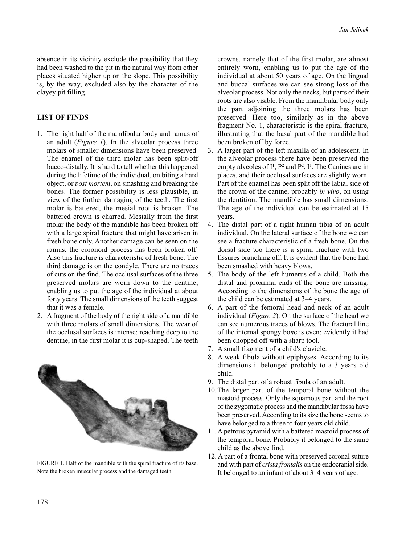absence in its vicinity exclude the possibility that they had been washed to the pit in the natural way from other places situated higher up on the slope. This possibility is, by the way, excluded also by the character of the clayey pit filling.

# **LIST OF FINDS**

- 1. The right half of the mandibular body and ramus of an adult (*Figure 1*). In the alveolar process three molars of smaller dimensions have been preserved. The enamel of the third molar has been split-off bucco-distally. It is hard to tell whether this happened during the lifetime of the individual, on biting a hard object, or *post mortem*, on smashing and breaking the bones. The former possibility is less plausible, in view of the further damaging of the teeth. The first molar is battered, the mesial root is broken. The battered crown is charred. Mesially from the first molar the body of the mandible has been broken off with a large spiral fracture that might have arisen in fresh bone only. Another damage can be seen on the ramus, the coronoid process has been broken off. Also this fracture is characteristic of fresh bone. The third damage is on the condyle. There are no traces of cuts on the find. The occlusal surfaces of the three preserved molars are worn down to the dentine, enabling us to put the age of the individual at about forty years. The small dimensions of the teeth suggest that it was a female.
- 2. A fragment of the body of the right side of a mandible with three molars of small dimensions. The wear of the occlusal surfaces is intense; reaching deep to the dentine, in the first molar it is cup-shaped. The teeth



FIGURE 1. Half of the mandible with the spiral fracture of its base. Note the broken muscular process and the damaged teeth.

crowns, namely that of the first molar, are almost entirely worn, enabling us to put the age of the individual at about 50 years of age. On the lingual and buccal surfaces we can see strong loss of the alveolar process. Not only the necks, but parts of their roots are also visible. From the mandibular body only the part adjoining the three molars has been preserved. Here too, similarly as in the above fragment No. 1, characteristic is the spiral fracture, illustrating that the basal part of the mandible had been broken off by force.

- 3. A larger part of the left maxilla of an adolescent. In the alveolar process there have been preserved the empty alveoles of  $I^1$ ,  $P^2$  and  $P^2$ ,  $I^1$ . The Canines are in places, and their occlusal surfaces are slightly worn. Part of the enamel has been split off the labial side of the crown of the canine, probably *in vivo*, on using the dentition. The mandible has small dimensions. The age of the individual can be estimated at 15 years.
- 4. The distal part of a right human tibia of an adult individual. On the lateral surface of the bone we can see a fracture characteristic of a fresh bone. On the dorsal side too there is a spiral fracture with two fissures branching off. It is evident that the bone had been smashed with heavy blows.
- 5. The body of the left humerus of a child. Both the distal and proximal ends of the bone are missing. According to the dimensions of the bone the age of the child can be estimated at 3–4 years.
- 6. A part of the femoral head and neck of an adult individual (*Figure 2*). On the surface of the head we can see numerous traces of blows. The fractural line of the internal spongy bo*n*e is even; evidently it had been chopped off with a sharp tool.
- 7. A small fragment of a child's clavicle.
- 8. A weak fibula without epiphyses. According to its dimensions it belonged probably to a 3 years old child.
- 9. The distal part of a robust fibula of an adult.
- 10. The larger part of the temporal bone without the mastoid process. Only the squamous part and the root of the zygomatic process and the mandibular fossa have been preserved. According to its size the bone seems to have belonged to a three to four years old child.
- 11. A petrous pyramid with a battered mastoid process of the temporal bone. Probably it belonged to the same child as the above find.
- 12. A part of a frontal bone with preserved coronal suture and with part of *crista frontalis* on the endocranial side. It belonged to an infant of about 3–4 years of age.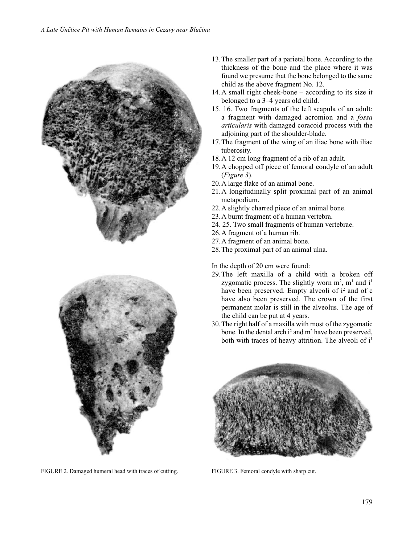

FIGURE 2. Damaged humeral head with traces of cutting. FIGURE 3. Femoral condyle with sharp cut.

- 13.The smaller part of a parietal bone. According to the thickness of the bone and the place where it was found we presume that the bone belonged to the same child as the above fragment No. 12.
- 14.A small right cheek-bone according to its size it belonged to a 3–4 years old child.
- 15. 16. Two fragments of the left scapula of an adult: a fragment with damaged acromion and a *fossa articularis* with damaged coracoid process with the adjoining part of the shoulder-blade.
- 17.The fragment of the wing of an iliac bone with iliac tuberosity.
- 18.A 12 cm long fragment of a rib of an adult.
- 19.A chopped off piece of femoral condyle of an adult (*Figure 3*).
- 20.A large flake of an animal bone.
- 21.A longitudinally split proximal part of an animal metapodium.
- 22.A slightly charred piece of an animal bone.
- 23.A burnt fragment of a human vertebra.
- 24. 25. Two small fragments of human vertebrae.
- 26.A fragment of a human rib.
- 27.A fragment of an animal bone.
- 28.The proximal part of an animal ulna.

In the depth of 20 cm were found:

- 29.The left maxilla of a child with a broken off zygomatic process. The slightly worn  $m^2$ ,  $m^1$  and  $i^1$ have been preserved. Empty alveoli of  $i^2$  and of c have also been preserved. The crown of the first permanent molar is still in the alveolus. The age of the child can be put at 4 years.
- 30.The right half of a maxilla with most of the zygomatic bone. In the dental arch  $i^2$  and  $m^2$  have been preserved, both with traces of heavy attrition. The alveoli of  $i<sup>1</sup>$

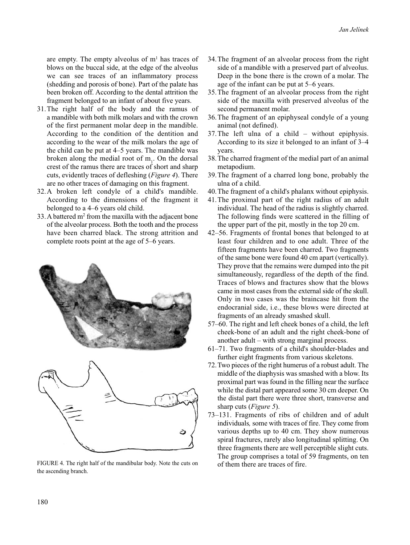are empty. The empty alveolus of  $m<sup>1</sup>$  has traces of blows on the buccal side, at the edge of the alveolus we can see traces of an inflammatory process (shedding and porosis of bone). Part of the palate has been broken off. According to the dental attrition the fragment belonged to an infant of about five years.

- 31.The right half of the body and the ramus of a mandible with both milk molars and with the crown of the first permanent molar deep in the mandible. According to the condition of the dentition and according to the wear of the milk molars the age of the child can be put at 4–5 years. The mandible was broken along the medial root of  $m_1$ . On the dorsal crest of the ramus there are traces of short and sharp cuts, evidently traces of defleshing (*Figure 4*). There are no other traces of damaging on this fragment.
- 32.A broken left condyle of a child's mandible. According to the dimensions of the fragment it belonged to a 4–6 years old child.
- 33. A battered  $m<sup>2</sup>$  from the maxilla with the adjacent bone of the alveolar process. Both the tooth and the process have been charred black. The strong attrition and complete roots point at the age of 5–6 years.





FIGURE 4. The right half of the mandibular body. Note the cuts on the ascending branch.

- 34.The fragment of an alveolar process from the right side of a mandible with a preserved part of alveolus. Deep in the bone there is the crown of a molar. The age of the infant can be put at 5–6 years.
- 35.The fragment of an alveolar process from the right side of the maxilla with preserved alveolus of the second permanent molar.
- 36.The fragment of an epiphyseal condyle of a young animal (not defined).
- 37.The left ulna of a child without epiphysis. According to its size it belonged to an infant of 3–4 years.
- 38.The charred fragment of the medial part of an animal metapodium.
- 39.The fragment of a charred long bone, probably the ulna of a child.
- 40.The fragment of a child's phalanx without epiphysis.
- 41.The proximal part of the right radius of an adult individual. The head of the radius is slightly charred. The following finds were scattered in the filling of the upper part of the pit, mostly in the top 20 cm.
- 42–56. Fragments of frontal bones that belonged to at least four children and to one adult. Three of the fifteen fragments have been charred. Two fragments of the same bone were found 40 cm apart (vertically). They prove that the remains were dumped into the pit simultaneously, regardless of the depth of the find. Traces of blows and fractures show that the blows came in most cases from the external side of the skull. Only in two cases was the braincase hit from the endocranial side, i.e., these blows were directed at fragments of an already smashed skull.
- 57–60. The right and left cheek bones of a child, the left cheek-bone of an adult and the right cheek*-*bone of another adult – with strong marginal process.
- 61–71. Two fragments of a child's shoulder-blades and further eight fragments from various skeletons.
- 72.Two pieces of the right humerus of a robust adult. The middle of the diaphysis was smashed with a blow. Its proximal part was found in the filling near the surface while the distal part appeared some 30 cm deeper. On the distal part there were three short, transverse and sharp cuts (*Figure 5*).
- 73–131. Fragments of ribs of children and of adult individuals*,* some with traces of fire. They come from various depths up to 40 cm. They show numerous spiral fractures, rarely also longitudinal splitting. On three fragments there are well perceptible slight cuts. The group comprises a total of 59 fragments, on ten of them there are traces of fire.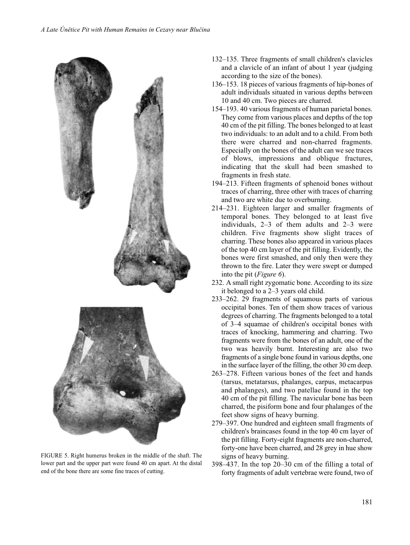

FIGURE 5. Right humerus broken in the middle of the shaft. The lower part and the upper part were found 40 cm apart. At the distal end of the bone there are some fine traces of cutting.

- 132–135. Three fragments of small children's clavicles and a clavicle of an infant of about 1 year (judging according to the size of the bones).
- 136–153. 18 pieces of various fragments of hip-bones of adult individuals situated in various depths between 10 and 40 cm. Two pieces are charred.
- 154–193. 40 various fragments of human parietal bones. They come from various places and depths of the top 40 cm of the pit filling. The bones belonged to at least two individuals: to an adult and to a child. From both there were charred and non-charred fragments. Especially on the bones of the adult can we see traces of blows, impressions and oblique fractures, indicating that the skull had been smashed to fragments in fresh state.
- 194–213. Fifteen fragments of sphenoid bones without traces of charring, three other with traces of charring and two are white due to overburning.
- 214–231. Eighteen larger and smaller fragments of temporal bones. They belonged to at least five individuals, 2–3 of them adults and 2–3 were children. Five fragments show slight traces of charring. These bones also appeared in various places of the top 40 cm layer of the pit filling. Evidently, the bones were first smashed, and only then were they thrown to the fire. Later they were swept or dumped into the pit (*Figure 6*).
- 232. A small right zygomatic bone. According to its size it belonged to a 2–3 years old child.
- 233–262. 29 fragments of squamous parts of various occipital bones. Ten of them show traces of various degrees of charring. The fragments belonged to a total of 3–4 squamae of children's occipital bones with traces of knocking, hammering and charring. Two fragments were from the bones of an adult, one of the two was heavily burnt. Interesting are also two fragments of a single bone found in various depths, one in the surface layer of the filling, the other 30 cm deep.
- 263–278. Fifteen various bones of the feet and hands (tarsus, metatarsus, phalanges, carpus, metacarpus and phalanges), and two patellae found in the top 40 cm of the pit filling. The navicular bone has been charred, the pisiform bone and four phalanges of the feet show signs of heavy burning.
- 279–397. One hundred and eighteen small fragments of children's braincases found in the top 40 cm layer of the pit filling. Forty-eight fragments are non-charred, forty-one have been charred, and 28 grey in hue show signs of heavy burning.
- 398–437. In the top 20–30 cm of the filling a total of forty fragments of adult vertebrae were found, two of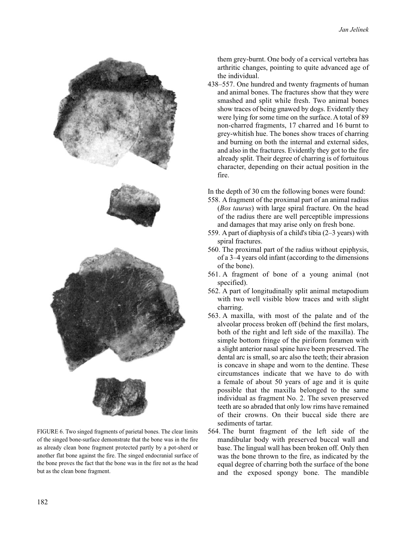

FIGURE 6. Two singed fragments of parietal bones. The clear limits of the singed bone-surface demonstrate that the bone was in the fire as already clean bone fragment protected partly by a pot-sherd or another flat bone against the fire. The singed endocranial surface of the bone proves the fact that the bone was in the fire not as the head but as the clean bone fragment.

them grey-burnt. One body of a cervical vertebra has arthritic changes, pointing to quite advanced age of the individual.

438–557. One hundred and twenty fragments of human and animal bones. The fractures show that they were smashed and split while fresh. Two animal bones show traces of being gnawed by dogs. Evidently they were lying for some time on the surface. A total of 89 non-charred fragments, 17 charred and 16 burnt to grey-whitish hue. The bones show traces of charring and burning on both the internal and external sides, and also in the fractures. Evidently they got to the fire already split. Their degree of charring is of fortuitous character, depending on their actual position in the fire.

In the depth of 30 cm the following bones were found:

- 558. A fragment of the proximal part of an animal radius (*Bos taurus*) with large spiral fracture. On the head of the radius there are well perceptible impressions and damages that may arise only on fresh bone.
- 559. A part of diaphysis of a child's tibia (2–3 years) with spiral fractures.
- 560. The proximal part of the radius without epiphysis, of a 3–4 years old infant (according to the dimensions of the bone).
- 561. A fragment of bone of a young animal (not specified).
- 562. A part of longitudinally split animal metapodium with two well visible blow traces and with slight charring.
- 563. A maxilla, with most of the palate and of the alveolar process broken off (behind the first molars, both of the right and left side of the maxilla). The simple bottom fringe of the piriform foramen with a slight anterior nasal spine have been preserved. The dental arc is small, so arc also the teeth; their abrasion is concave in shape and worn to the dentine. These circumstances indicate that we have to do with a female of about 50 years of age and it is quite possible that the maxilla belonged to the same individual as fragment No. 2. The seven preserved teeth are so abraded that only low rims have remained of their crowns. On their buccal side there are sediments of tartar.
- 564. The burnt fragment of the left side of the mandibular body with preserved buccal wall and base. The lingual wall has been broken off. Only then was the bone thrown to the fire, as indicated by the equal degree of charring both the surface of the bone and the exposed spongy bone. The mandible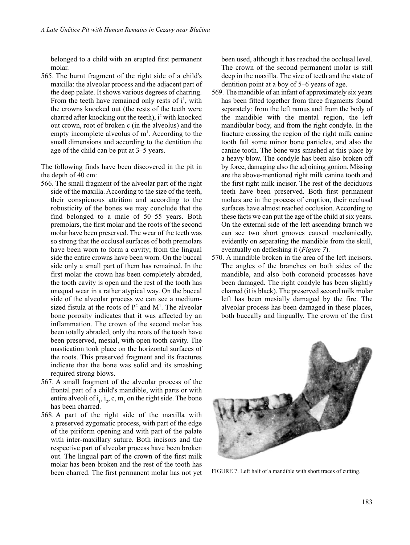belonged to a child with an erupted first permanent molar.

565. The burnt fragment of the right side of a child's maxilla: the alveolar process and the adjacent part of the deep palate. It shows various degrees of charring. From the teeth have remained only rests of  $i^1$ , with the crowns knocked out (the rests of the teeth were charred after knocking out the teeth),  $i^2$  with knocked out crown, root of broken c (in the alveolus) and the empty incomplete alveolus of  $m<sup>1</sup>$ . According to the small dimensions and according to the dentition the age of the child can be put at 3–5 years.

The following finds have been discovered in the pit in the depth of 40 cm:

- 566. The small fragment of the alveolar part of the right side of the maxilla. According to the size of the teeth, their conspicuous attrition and according to the robusticity of the bones we may conclude that the find belonged to a male of 50–55 years. Both premolars, the first molar and the roots of the second molar have been preserved. The wear of the teeth was so strong that the occlusal surfaces of both premolars have been worn to form a cavity; from the lingual side the entire crowns have been worn. On the buccal side only a small part of them has remained. In the first molar the crown has been completely abraded, the tooth cavity is open and the rest of the tooth has unequal wear in a rather atypical way. On the buccal side of the alveolar process we can see a mediumsized fistula at the roots of  $P^2$  and  $M^1$ . The alveolar bone porosity indicates that it was affected by an inflammation. The crown of the second molar has been totally abraded, only the roots of the tooth have been preserved, mesial, with open tooth cavity. The mastication took place on the horizontal surfaces of the roots. This preserved fragment and its fractures indicate that the bone was solid and its smashing required strong blows.
- 567. A small fragment of the alveolar process of the frontal part of a child's mandible, with parts or with entire alveoli of  $i_1$ ,  $i_2$ , c, m<sub>1</sub> on the right side. The bone has been charred.
- 568. A part of the right side of the maxilla with a preserved zygomatic process, with part of the edge of the piriform opening and with part of the palate with inter-maxillary suture. Both incisors and the respective part of alveolar process have been broken out. The lingual part of the crown of the first milk molar has been broken and the rest of the tooth has been charred. The first permanent molar has not yet

been used, although it has reached the occlusal level. The crown of the second permanent molar is still deep in the maxilla. The size of teeth and the state of dentition point at a boy of 5–6 years of age.

- 569. The mandible of an infant of approximately six years has been fitted together from three fragments found separately: from the left ramus and from the body of the mandible with the mental region, the left mandibular body, and from the right condyle. In the fracture crossing the region of the right milk canine tooth fail some minor bone particles, and also the canine tooth. The bone was smashed at this place by a heavy blow. The condyle has been also broken off by force, damaging also the adjoining gonion. Missing are the above-mentioned right milk canine tooth and the first right milk incisor. The rest of the deciduous teeth have been preserved. Both first permanent molars are in the process of eruption, their occlusal surfaces have almost reached occlusion. According to these facts we can put the age of the child at six years. On the external side of the left ascending branch we can see two short grooves caused mechanically, evidently on separating the mandible from the skull, eventually on defleshing it (*Figure 7*).
- 570. A mandible broken in the area of the left incisors. The angles of the branches on both sides of the mandible, and also both coronoid processes have been damaged. The right condyle has been slightly charred (it is black). The preserved second milk molar left has been mesially damaged by the fire. The alveolar process has been damaged in these places, both buccally and lingually. The crown of the first



FIGURE 7. Left half of a mandible with short traces of cutting.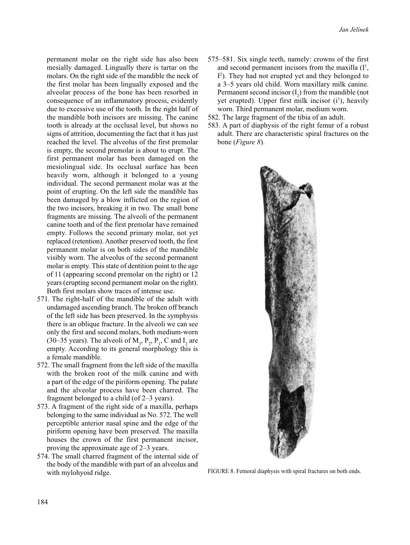permanent molar on the right side has also been mesially damaged. Lingually there is tartar on the molars. On the right side of the mandible the neck of the first molar has been lingually exposed and the alveolar process of the bone has been resorbed in consequence of an inflammatory process, evidently due to excessive use of the tooth. In the right half of the mandible both incisors are missing. The canine tooth is already at the occlusal level, but shows no signs of attrition, documenting the fact that it has just reached the level. The alveolus of the first premolar is empty, the second premolar is about to erupt. The first permanent molar has been damaged on the mesiolingual side. Its occlusal surface has been heavily worn, although it belonged to a young individual. The second permanent molar was at the point of erupting. On the left side the mandible has been damaged by a blow inflicted on the region of the two incisors, breaking it in two. The small bone fragments are missing. The alveoli of the permanent canine tooth and of the first premolar have remained empty. Follows the second primary molar, not yet replaced (retention). Another preserved tooth, the first permanent molar is on both sides of the mandible visibly worn. The alveolus of the second permanent molar is empty. This state of dentition point to the age of 11 (appearing second premolar on the right) or 12 years (erupting second permanent molar on the right). Both first molars show traces of intense use.

- 571. The right-half of the mandible of the adult with undamaged ascending branch. The broken off branch of the left side has been preserved. In the symphysis there is an oblique fracture. In the alveoli we can see only the first and second molars, both medium-worn (30–35 years). The alveoli of  $M_3$ ,  $P_2$ ,  $P_1$ , C and  $I_2$  are empty. According to its general morphology this is a female mandible.
- 572. The small fragment from the left side of the maxilla with the broken root of the milk canine and with a part of the edge of the piriform opening. The palate and the alveolar process have been charred. The fragment belonged to a child (of 2–3 years).
- 573. A fragment of the right side of a maxilla, perhaps belonging to the same individual as No. 572. The well perceptible anterior nasal spine and the edge of the piriform opening have been preserved. The maxilla houses the crown of the first permanent incisor, proving the approximate age of 2–3 years.
- 574. The small charred fragment of the internal side of the body of the mandible with part of an alveolus and with mylohyoid ridge.
- 575–581. Six single teeth, namely: crowns of the first and second permanent incisors from the maxilla  $(I^1)$ , I2 ). They had not erupted yet and they belonged to a 3–5 years old child. Worn maxillary milk canine. Permanent second incisor  $(I_2)$  from the mandible (not yet erupted). Upper first milk incisor (i<sup>1</sup>), heavily worn. Third permanent molar, medium worn.
- 582. The large fragment of the tibia of an adult.
- 583. A part of diaphysis of the right femur of a robust adult. There are characteristic spiral fractures on the bone (*Figure 8*).



FIGURE 8. Femoral diaphysis with spiral fractures on both ends.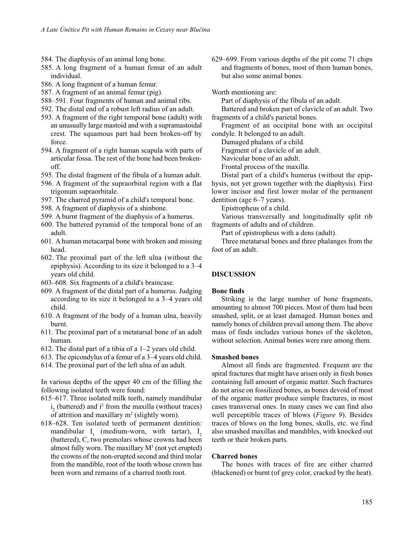- 584. The diaphysis of an animal long bone.
- 585. A long fragment of a human femur of an adult individual.
- 586. A long fragment of a human femur.
- 587. A fragment of an animal femur (pig).
- 588–591. Four fragments of human and animal ribs.
- 592. The distal end of a robust left radius of an adult.
- 593. A fragment of the right temporal bone (adult) with an unusually large mastoid and with a supramastoidal crest. The squamous part had been broken-off by force.
- 594. A fragment of a right human scapula with parts of articular fossa. The rest of the bone had been brokenoff.
- 595. The distal fragment of the fibula of a human adult.
- 596. A fragment of the supraorbital region with a flat trigonum supraorbitale.
- 597. The charred pyramid of a child's temporal bone.
- 598. A fragment of diaphysis of a shinbone.
- 599. A burnt fragment of the diaphysis of a humerus.
- 600. The battered pyramid of the temporal bone of an adult.
- 601. A human metacarpal bone with broken and missing head.
- 602. The proximal part of the left ulna (without the epiphysis). According to its size it belonged to a 3–4 years old child.
- 603–608. Six fragments of a child's braincase.
- 609. A fragment of the distal part of a humerus. Judging according to its size it belonged to a 3–4 years old child.
- 610. A fragment of the body of a human ulna, heavily burnt.
- 611. The proximal part of a metatarsal bone of an adult human.
- 612. The distal part of a tibia of a 1–2 years old child.
- 613. The epicondylus of a femur of a 3–4 years old child.
- 614. The proximal part of the left ulna of an adult.

In various depths of the upper 40 cm of the filling the following isolated teeth were found:

- 615–617. Three isolated milk teeth, namely mandibular  $i_2$  (battered) and  $i^2$  from the maxilla (without traces) of attrition and maxillary  $m^2$  (slightly worn).
- 618–628. Ten isolated teeth of permanent dentition: mandibular  $I_1$  (medium-worn, with tartar),  $I_2$ (battered), C, two premolars whose crowns had been almost fully worn. The maxillary  $M<sup>1</sup>$  (not yet erupted) the crowns of the non-erupted second and third molar from the mandible, root of the tooth whose crown has been worn and remains of a charred tooth root.

629–699. From various depths of the pit come 71 chips and fragments of bones, most of them human bones, but also some animal bones.

Worth mentioning are:

Part of diaphysis of the fibula of an adult.

Battered and broken part of clavicle of an adult. Two fragments of a child's parietal bones.

Fragment of an occipital bone with an occipital condyle. It belonged to an adult.

Damaged phalanx of a child.

Fragment of a clavicle of an adult.

Navicular bone of an adult.

Frontal process of the maxilla.

Distal part of a child's humerus (without the epiphysis, not yet grown together with the diaphysis). First lower incisor and first lower molar of the permanent dentition (age 6–7 years).

Epistropheus of a child.

Various transversally and longitudinally split rib fragments of adults and of children.

Part of epistropheus with a dens (adult).

Three metatarsal bones and three phalanges from the foot of an adult.

## **DISCUSSION**

#### **Bone finds**

Striking is the large number of bone fragments, amounting to almost 700 pieces. Most of them had been smashed, split, or at least damaged. Human bones and namely bones of children prevail among them. The above mass of finds includes various bones of the skeleton, without selection. Animal bones were rare among them.

#### **Smashed bones**

Almost all finds are fragmented. Frequent are the spiral fractures that might have arisen only in fresh bones containing full amount of organic matter. Such fractures do not arise on fossilized bones, as bones devoid of most of the organic matter produce simple fractures, in most cases transversal ones. In many cases we can find also well perceptible traces of blows (*Figure 9*). Besides traces of blows on the long bones, skulls, etc. we find also smashed maxillas and mandibles, with knocked out teeth or their broken parts.

### **Charred bones**

The bones with traces of fire are either charred (blackened) or burnt (of grey color, cracked by the heat).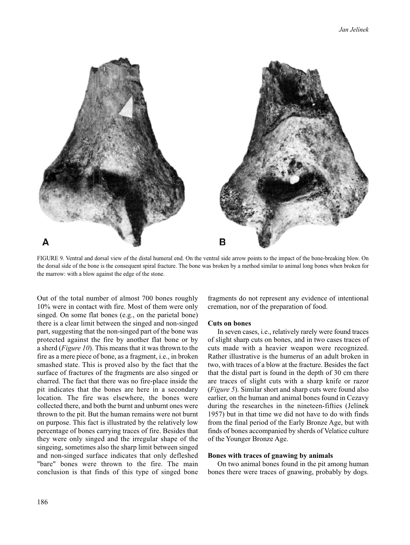

FIGURE 9. Ventral and dorsal view of the distal humeral end. On the ventral side arrow points to the impact of the bone-breaking blow. On the dorsal side of the bone is the consequent spiral fracture. The bone was broken by a method similar to animal long bones when broken for the marrow: with a blow against the edge of the stone.

Out of the total number of almost 700 bones roughly 10% were in contact with fire. Most of them were only singed. On some flat bones (e.g., on the parietal bone) there is a clear limit between the singed and non-singed part, suggesting that the non-singed part of the bone was protected against the fire by another flat bone or by a sherd (*Figure 10*). This means that it was thrown to the fire as a mere piece of bone, as a fragment, i.e., in broken smashed state. This is proved also by the fact that the surface of fractures of the fragments are also singed or charred. The fact that there was no fire-place inside the pit indicates that the bones are here in a secondary location. The fire was elsewhere, the bones were collected there, and both the burnt and unburnt ones were thrown to the pit. But the human remains were not burnt on purpose. This fact is illustrated by the relatively low percentage of bones carrying traces of fire. Besides that they were only singed and the irregular shape of the singeing, sometimes also the sharp limit between singed and non-singed surface indicates that only defleshed "bare" bones were thrown to the fire. The main conclusion is that finds of this type of singed bone

fragments do not represent any evidence of intentional cremation, nor of the preparation of food.

#### **Cuts on bones**

In seven cases, i.e., relatively rarely were found traces of slight sharp cuts on bones, and in two cases traces of cuts made with a heavier weapon were recognized. Rather illustrative is the humerus of an adult broken in two, with traces of a blow at the fracture. Besides the fact that the distal part is found in the depth of 30 cm there are traces of slight cuts with a sharp knife or razor (*Figure 5*). Similar short and sharp cuts were found also earlier, on the human and animal bones found in Cezavy during the researches in the nineteen-fifties (Jelínek 1957) but in that time we did not have to do with finds from the final period of the Early Bronze Age, but with finds of bones accompanied by sherds of Velatice culture of the Younger Bronze Age.

#### **Bones with traces of gnawing by animals**

On two animal bones found in the pit among human bones there were traces of gnawing, probably by dogs.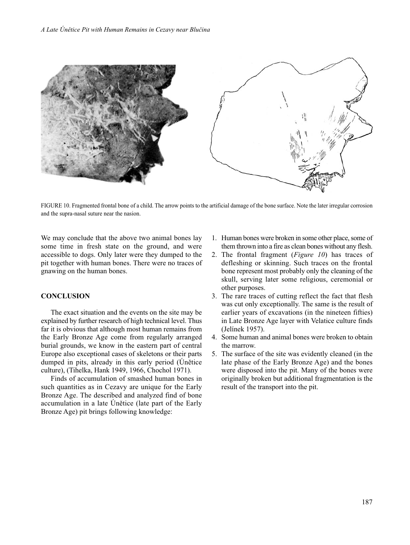

FIGURE 10. Fragmented frontal bone of a child. The arrow points to the artificial damage of the bone surface. Note the later irregular corrosion and the supra-nasal suture near the nasion.

We may conclude that the above two animal bones lay some time in fresh state on the ground, and were accessible to dogs. Only later were they dumped to the pit together with human bones. There were no traces of gnawing on the human bones.

## **CONCLUSION**

The exact situation and the events on the site may be explained by further research of high technical level. Thus far it is obvious that although most human remains from the Early Bronze Age come from regularly arranged burial grounds, we know in the eastern part of central Europe also exceptional cases of skeletons or their parts dumped in pits, already in this early period (Únětice culture), (Tihelka, Hank 1949, 1966, Chochol 1971).

Finds of accumulation of smashed human bones in such quantities as in Cezavy are unique for the Early Bronze Age. The described and analyzed find of bone accumulation in a late Únětice (late part of the Early Bronze Age) pit brings following knowledge:

- 1. Human bones were broken in some other place, some of them thrown into a fire as clean bones without any flesh.
- 2. The frontal fragment (*Figure 10*) has traces of defleshing or skinning. Such traces on the frontal bone represent most probably only the cleaning of the skull, serving later some religious, ceremonial or other purposes.
- 3. The rare traces of cutting reflect the fact that flesh was cut only exceptionally. The same is the result of earlier years of excavations (in the nineteen fifties) in Late Bronze Age layer with Velatice culture finds (Jelínek 1957).
- 4. Some human and animal bones were broken to obtain the marrow.
- 5. The surface of the site was evidently cleaned (in the late phase of the Early Bronze Age) and the bones were disposed into the pit. Many of the bones were originally broken but additional fragmentation is the result of the transport into the pit.